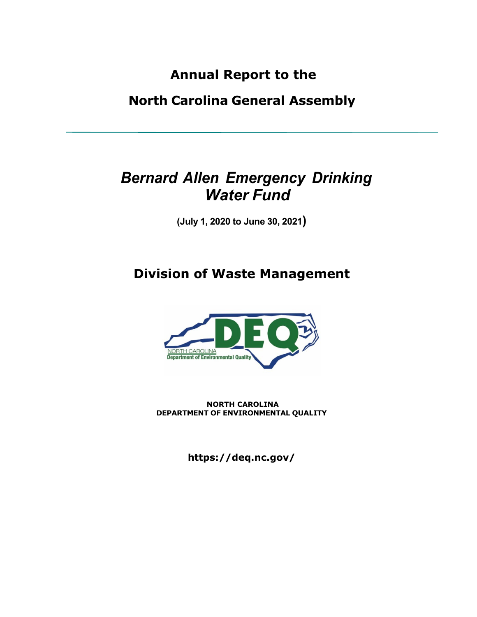**Annual Report to the**

**North Carolina General Assembly**

# *Bernard Allen Emergency Drinking Water Fund*

**(July 1, 2020 to June 30, 2021)**

## **Division of Waste Management**



**NORTH CAROLINA DEPARTMENT OF ENVIRONMENTAL QUALITY**

**https://deq.nc.gov/**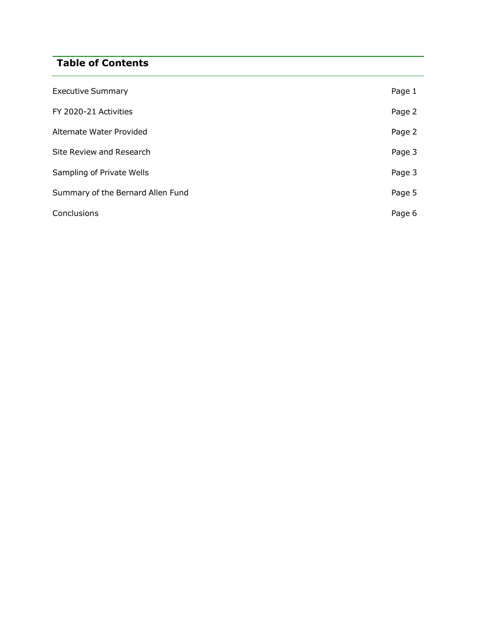## **Table of Contents**

| <b>Executive Summary</b>          | Page 1 |
|-----------------------------------|--------|
| FY 2020-21 Activities             | Page 2 |
| Alternate Water Provided          | Page 2 |
| Site Review and Research          | Page 3 |
| Sampling of Private Wells         | Page 3 |
| Summary of the Bernard Allen Fund | Page 5 |
| Conclusions                       | Page 6 |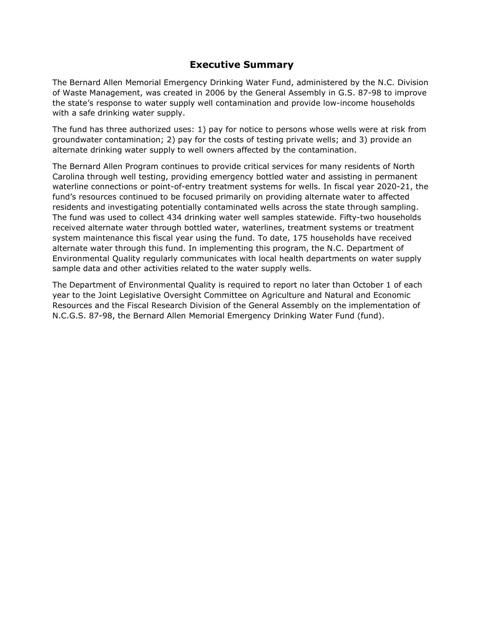#### **Executive Summary**

The Bernard Allen Memorial Emergency Drinking Water Fund, administered by the N.C. Division of Waste Management, was created in 2006 by the General Assembly in G.S. 87-98 to improve the state's response to water supply well contamination and provide low-income households with a safe drinking water supply.

The fund has three authorized uses: 1) pay for notice to persons whose wells were at risk from groundwater contamination; 2) pay for the costs of testing private wells; and 3) provide an alternate drinking water supply to well owners affected by the contamination.

The Bernard Allen Program continues to provide critical services for many residents of North Carolina through well testing, providing emergency bottled water and assisting in permanent waterline connections or point-of-entry treatment systems for wells. In fiscal year 2020-21, the fund's resources continued to be focused primarily on providing alternate water to affected residents and investigating potentially contaminated wells across the state through sampling. The fund was used to collect 434 drinking water well samples statewide. Fifty-two households received alternate water through bottled water, waterlines, treatment systems or treatment system maintenance this fiscal year using the fund. To date, 175 households have received alternate water through this fund. In implementing this program, the N.C. Department of Environmental Quality regularly communicates with local health departments on water supply sample data and other activities related to the water supply wells.

The Department of Environmental Quality is required to report no later than October 1 of each year to the Joint Legislative Oversight Committee on Agriculture and Natural and Economic Resources and the Fiscal Research Division of the General Assembly on the implementation of N.C.G.S. 87-98, the Bernard Allen Memorial Emergency Drinking Water Fund (fund).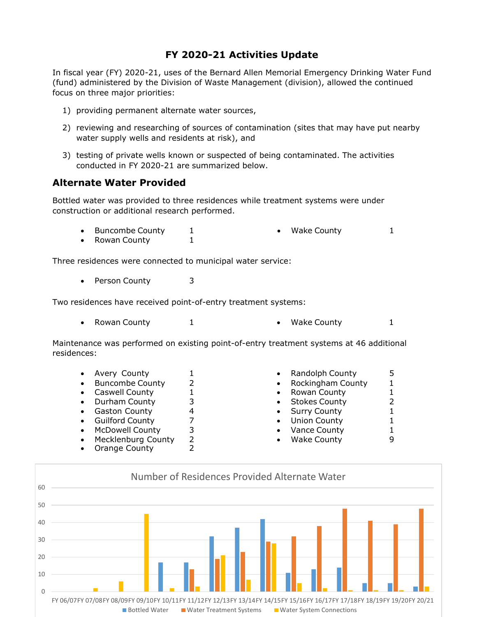### **FY 2020-21 Activities Update**

In fiscal year (FY) 2020-21, uses of the Bernard Allen Memorial Emergency Drinking Water Fund (fund) administered by the Division of Waste Management (division), allowed the continued focus on three major priorities:

- 1) providing permanent alternate water sources,
- 2) reviewing and researching of sources of contamination (sites that may have put nearby water supply wells and residents at risk), and
- 3) testing of private wells known or suspected of being contaminated. The activities conducted in FY 2020-21 are summarized below.

#### **Alternate Water Provided**

Bottled water was provided to three residences while treatment systems were under construction or additional research performed.

- Buncombe County 1 Wake County 1
- Rowan County 1

Three residences were connected to municipal water service:

Person County 3

Two residences have received point-of-entry treatment systems:

2 1

2 2

• Rowan County  $1$  • Wake County  $1$ 

Maintenance was performed on existing point-of-entry treatment systems at 46 additional residences:

- 
- Buncombe County
- Caswell County
- 
- 
- 
- 
- Mecklenburg County
- Orange County
- Avery County  $1$  Randolph County 5
	- Rockingham County 1
	- Rowan County 1
- Durham County  $\begin{array}{ccc} 3 & 3 \\ & 51 & 1 \end{array}$  Stokes County  $\begin{array}{ccc} 2 & 2 \\ & 51 & 2 \end{array}$
- Gaston County 4 Surry County 1
- Guilford County 7 Union County 1
	- McDowell County 3 Vance County 1
		- Wake County 9

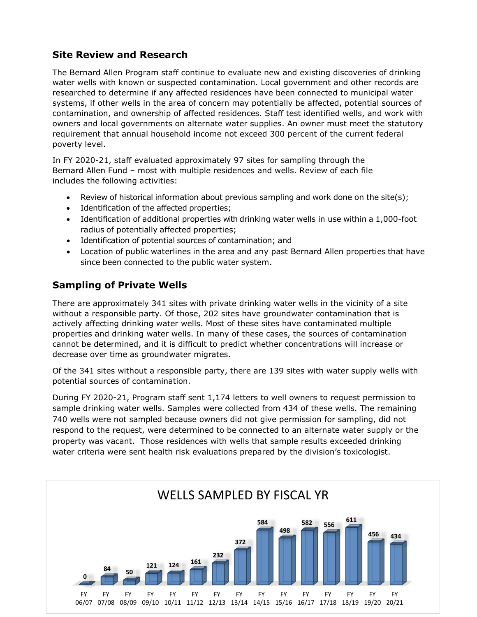## **Site Review and Research**

The Bernard Allen Program staff continue to evaluate new and existing discoveries of drinking water wells with known or suspected contamination. Local government and other records are researched to determine if any affected residences have been connected to municipal water systems, if other wells in the area of concern may potentially be affected, potential sources of contamination, and ownership of affected residences. Staff test identified wells, and work with owners and local governments on alternate water supplies. An owner must meet the statutory requirement that annual household income not exceed 300 percent of the current federal poverty level.

In FY 2020-21, staff evaluated approximately 97 sites for sampling through the Bernard Allen Fund – most with multiple residences and wells. Review of each file includes the following activities:

- Review of historical information about previous sampling and work done on the site(s);
- Identification of the affected properties;
- Identification of additional properties with drinking water wells in use within a 1,000-foot radius of potentially affected properties;
- Identification of potential sources of contamination; and
- Location of public waterlines in the area and any past Bernard Allen properties that have since been connected to the public water system.

## **Sampling of Private Wells**

There are approximately 341 sites with private drinking water wells in the vicinity of a site without a responsible party. Of those, 202 sites have groundwater contamination that is actively affecting drinking water wells. Most of these sites have contaminated multiple properties and drinking water wells. In many of these cases, the sources of contamination cannot be determined, and it is difficult to predict whether concentrations will increase or decrease over time as groundwater migrates.

Of the 341 sites without a responsible party, there are 139 sites with water supply wells with potential sources of contamination.

During FY 2020-21, Program staff sent 1,174 letters to well owners to request permission to sample drinking water wells. Samples were collected from 434 of these wells. The remaining 740 wells were not sampled because owners did not give permission for sampling, did not respond to the request, were determined to be connected to an alternate water supply or the property was vacant. Those residences with wells that sample results exceeded drinking water criteria were sent health risk evaluations prepared by the division's toxicologist.

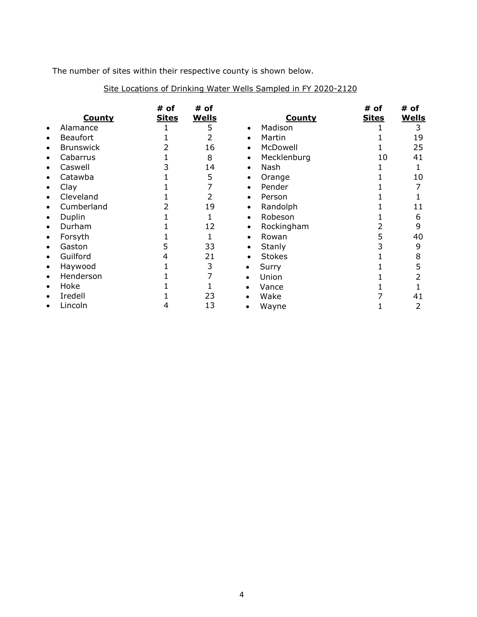The number of sites within their respective county is shown below.

|           |                  | #<br>of      | # of         |           |               | #<br>of      | # of         |
|-----------|------------------|--------------|--------------|-----------|---------------|--------------|--------------|
|           | <b>County</b>    | <b>Sites</b> | <b>Wells</b> |           | <b>County</b> | <b>Sites</b> | <b>Wells</b> |
| $\bullet$ | Alamance         |              |              | $\bullet$ | Madison       |              | 3            |
| $\bullet$ | <b>Beaufort</b>  |              |              | $\bullet$ | Martin        |              | 19           |
| $\bullet$ | <b>Brunswick</b> |              | 16           | $\bullet$ | McDowell      |              | 25           |
| $\bullet$ | Cabarrus         |              | 8            | $\bullet$ | Mecklenburg   | 10           | 41           |
| $\bullet$ | Caswell          |              | 14           | $\bullet$ | Nash          |              |              |
| $\bullet$ | Catawba          |              | 5            | $\bullet$ | Orange        |              | 10           |
| $\bullet$ | Clay             |              |              | $\bullet$ | Pender        |              |              |
| $\bullet$ | Cleveland        |              |              | $\bullet$ | Person        |              |              |
| $\bullet$ | Cumberland       |              | 19           | $\bullet$ | Randolph      |              | 11           |
| $\bullet$ | Duplin           |              |              | $\bullet$ | Robeson       |              | 6            |
| $\bullet$ | Durham           |              | 12           | $\bullet$ | Rockingham    |              | 9            |
| $\bullet$ | Forsyth          |              |              | $\bullet$ | Rowan         |              | 40           |
| $\bullet$ | Gaston           |              | 33           | $\bullet$ | Stanly        |              | 9            |
| $\bullet$ | Guilford         |              | 21           | $\bullet$ | <b>Stokes</b> |              | 8            |
| $\bullet$ | Haywood          |              | 3            | ٠         | Surry         |              | 5            |
| $\bullet$ | Henderson        |              |              | $\bullet$ | Union         |              |              |
| $\bullet$ | Hoke             |              |              |           | Vance         |              |              |
| $\bullet$ | Iredell          |              | 23           |           | Wake          |              | 41           |
| $\bullet$ | Lincoln          |              | 13           |           | Wayne         |              |              |

#### Site Locations of Drinking Water Wells Sampled in FY 2020-2120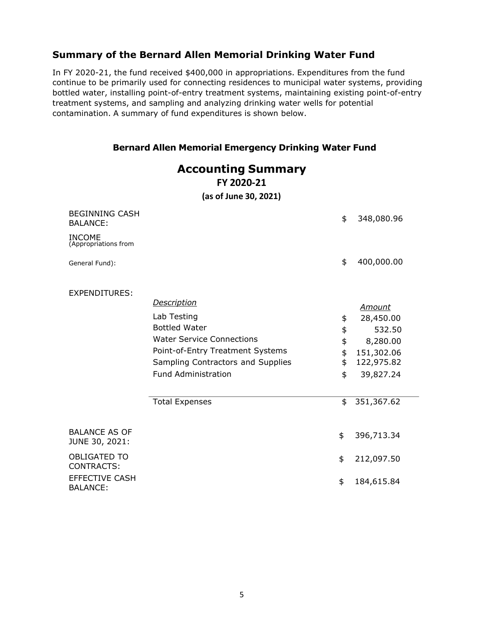### **Summary of the Bernard Allen Memorial Drinking Water Fund**

In FY 2020-21, the fund received \$400,000 in appropriations. Expenditures from the fund continue to be primarily used for connecting residences to municipal water systems, providing bottled water, installing point-of-entry treatment systems, maintaining existing point-of-entry treatment systems, and sampling and analyzing drinking water wells for potential contamination. A summary of fund expenditures is shown below.

#### **Bernard Allen Memorial Emergency Drinking Water Fund**

|                                          | <b>Accounting Summary</b><br>FY 2020-21<br>(as of June 30, 2021)                                                                                                                                                              |                                        |                                                                                                         |
|------------------------------------------|-------------------------------------------------------------------------------------------------------------------------------------------------------------------------------------------------------------------------------|----------------------------------------|---------------------------------------------------------------------------------------------------------|
| <b>BEGINNING CASH</b><br><b>BALANCE:</b> |                                                                                                                                                                                                                               | \$                                     | 348,080.96                                                                                              |
| <b>INCOME</b><br>(Appropriations from    |                                                                                                                                                                                                                               |                                        |                                                                                                         |
| General Fund):                           |                                                                                                                                                                                                                               | \$                                     | 400,000.00                                                                                              |
| EXPENDITURES:                            | <b>Description</b><br>Lab Testing<br><b>Bottled Water</b><br><b>Water Service Connections</b><br>Point-of-Entry Treatment Systems<br>Sampling Contractors and Supplies<br><b>Fund Administration</b><br><b>Total Expenses</b> | \$<br>\$<br>\$<br>\$<br>\$<br>\$<br>\$ | <b>Amount</b><br>28,450.00<br>532.50<br>8,280.00<br>151,302.06<br>122,975.82<br>39,827.24<br>351,367.62 |
| <b>BALANCE AS OF</b><br>JUNE 30, 2021:   |                                                                                                                                                                                                                               | \$                                     | 396,713.34                                                                                              |
| <b>OBLIGATED TO</b><br><b>CONTRACTS:</b> |                                                                                                                                                                                                                               | \$                                     | 212,097.50                                                                                              |
| <b>EFFECTIVE CASH</b><br><b>BALANCE:</b> |                                                                                                                                                                                                                               | \$                                     | 184,615.84                                                                                              |